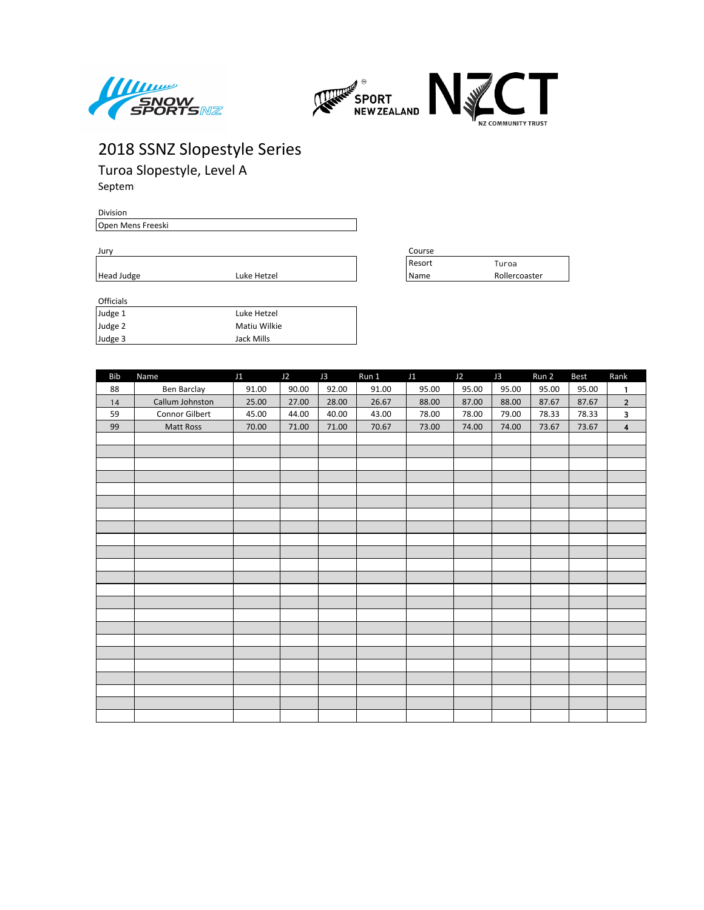



Turoa Slopestyle, Level A Septem

**Division** Open Mens Freeski

| ۰.<br>I | ×<br>. . |  |
|---------|----------|--|
|         |          |  |

Head Judge **Luke Hetzel** 

| <b>Officials</b> |              |
|------------------|--------------|
| Judge 1          | Luke Hetzel  |
| Judge 2          | Matiu Wilkie |
| Judge 3          | Jack Mills   |

| <b>Bib</b> | Name            | J1    | J2    | J3    | Run 1 | J1    | J2    | J3    | Run 2 | Best  | Rank                    |
|------------|-----------------|-------|-------|-------|-------|-------|-------|-------|-------|-------|-------------------------|
| 88         | Ben Barclay     | 91.00 | 90.00 | 92.00 | 91.00 | 95.00 | 95.00 | 95.00 | 95.00 | 95.00 | $\mathbf{1}$            |
| 14         | Callum Johnston | 25.00 | 27.00 | 28.00 | 26.67 | 88.00 | 87.00 | 88.00 | 87.67 | 87.67 | $\overline{2}$          |
| 59         | Connor Gilbert  | 45.00 | 44.00 | 40.00 | 43.00 | 78.00 | 78.00 | 79.00 | 78.33 | 78.33 | $\mathbf{3}$            |
| 99         | Matt Ross       | 70.00 | 71.00 | 71.00 | 70.67 | 73.00 | 74.00 | 74.00 | 73.67 | 73.67 | $\overline{\mathbf{4}}$ |
|            |                 |       |       |       |       |       |       |       |       |       |                         |
|            |                 |       |       |       |       |       |       |       |       |       |                         |
|            |                 |       |       |       |       |       |       |       |       |       |                         |
|            |                 |       |       |       |       |       |       |       |       |       |                         |
|            |                 |       |       |       |       |       |       |       |       |       |                         |
|            |                 |       |       |       |       |       |       |       |       |       |                         |
|            |                 |       |       |       |       |       |       |       |       |       |                         |
|            |                 |       |       |       |       |       |       |       |       |       |                         |
|            |                 |       |       |       |       |       |       |       |       |       |                         |
|            |                 |       |       |       |       |       |       |       |       |       |                         |
|            |                 |       |       |       |       |       |       |       |       |       |                         |
|            |                 |       |       |       |       |       |       |       |       |       |                         |
|            |                 |       |       |       |       |       |       |       |       |       |                         |
|            |                 |       |       |       |       |       |       |       |       |       |                         |
|            |                 |       |       |       |       |       |       |       |       |       |                         |
|            |                 |       |       |       |       |       |       |       |       |       |                         |
|            |                 |       |       |       |       |       |       |       |       |       |                         |
|            |                 |       |       |       |       |       |       |       |       |       |                         |
|            |                 |       |       |       |       |       |       |       |       |       |                         |
|            |                 |       |       |       |       |       |       |       |       |       |                         |
|            |                 |       |       |       |       |       |       |       |       |       |                         |
|            |                 |       |       |       |       |       |       |       |       |       |                         |
|            |                 |       |       |       |       |       |       |       |       |       |                         |

| Jurv       |             |  | Course   |               |  |  |
|------------|-------------|--|----------|---------------|--|--|
|            |             |  | ' Resort | Turoa         |  |  |
| Head Judge | Luke Hetzel |  | l Name   | Rollercoaster |  |  |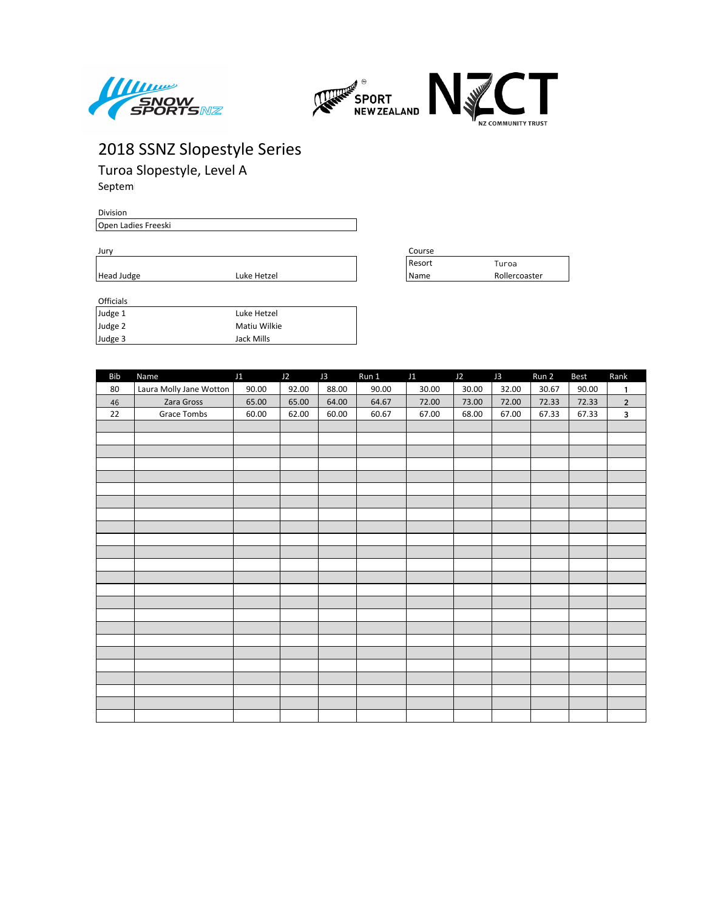



Turoa Slopestyle, Level A Septem

Division Open Ladies Freeski

Jury Course Resort Turoa Head Judge **Luke Hetzel** Name Rollercoaster

| ------- |              |
|---------|--------------|
| Judge 1 | Luke Hetzel  |
| Judge 2 | Matiu Wilkie |
| Judge 3 | Jack Mills   |

| Bib | Name                    | J1    | J2    | J3    | Run 1 | J1    | J2    | J3    | Run 2 | Best  | Rank         |
|-----|-------------------------|-------|-------|-------|-------|-------|-------|-------|-------|-------|--------------|
| 80  | Laura Molly Jane Wotton | 90.00 | 92.00 | 88.00 | 90.00 | 30.00 | 30.00 | 32.00 | 30.67 | 90.00 | $\mathbf{1}$ |
| 46  | Zara Gross              | 65.00 | 65.00 | 64.00 | 64.67 | 72.00 | 73.00 | 72.00 | 72.33 | 72.33 | $\mathbf 2$  |
| 22  | Grace Tombs             | 60.00 | 62.00 | 60.00 | 60.67 | 67.00 | 68.00 | 67.00 | 67.33 | 67.33 | $\mathbf{3}$ |
|     |                         |       |       |       |       |       |       |       |       |       |              |
|     |                         |       |       |       |       |       |       |       |       |       |              |
|     |                         |       |       |       |       |       |       |       |       |       |              |
|     |                         |       |       |       |       |       |       |       |       |       |              |
|     |                         |       |       |       |       |       |       |       |       |       |              |
|     |                         |       |       |       |       |       |       |       |       |       |              |
|     |                         |       |       |       |       |       |       |       |       |       |              |
|     |                         |       |       |       |       |       |       |       |       |       |              |
|     |                         |       |       |       |       |       |       |       |       |       |              |
|     |                         |       |       |       |       |       |       |       |       |       |              |
|     |                         |       |       |       |       |       |       |       |       |       |              |
|     |                         |       |       |       |       |       |       |       |       |       |              |
|     |                         |       |       |       |       |       |       |       |       |       |              |
|     |                         |       |       |       |       |       |       |       |       |       |              |
|     |                         |       |       |       |       |       |       |       |       |       |              |
|     |                         |       |       |       |       |       |       |       |       |       |              |
|     |                         |       |       |       |       |       |       |       |       |       |              |
|     |                         |       |       |       |       |       |       |       |       |       |              |
|     |                         |       |       |       |       |       |       |       |       |       |              |
|     |                         |       |       |       |       |       |       |       |       |       |              |
|     |                         |       |       |       |       |       |       |       |       |       |              |
|     |                         |       |       |       |       |       |       |       |       |       |              |
|     |                         |       |       |       |       |       |       |       |       |       |              |
|     |                         |       |       |       |       |       |       |       |       |       |              |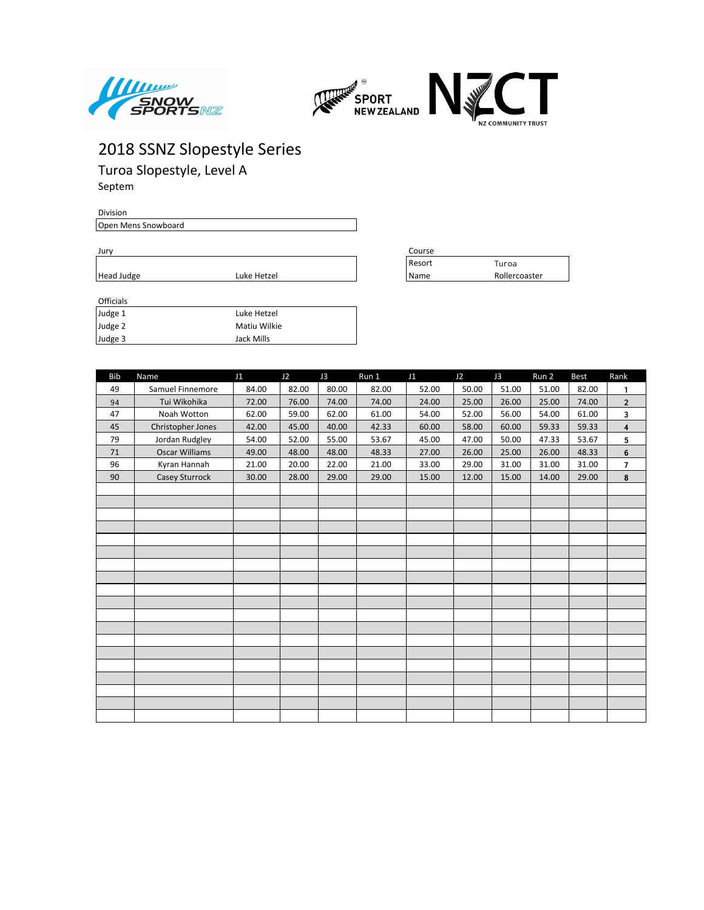



Turoa Slopestyle, Level A Septem

Division Open Mens Snowboard

| ۰.<br>× | ×<br>. . |  |
|---------|----------|--|
|         |          |  |

Jury Course Resort Turoa Head Judge **Luke Hetzel** Name **Rollercoaster** 

| <b>UILLUD</b> |              |
|---------------|--------------|
| Judge 1       | Luke Hetzel  |
| Judge 2       | Matiu Wilkie |
| Judge 3       | Jack Mills   |

| <b>Bib</b> | Name                  | J1    | J2    | J3    | Run 1 | J1    | J2    | J3    | Run 2 | Best  | Rank                    |
|------------|-----------------------|-------|-------|-------|-------|-------|-------|-------|-------|-------|-------------------------|
| 49         | Samuel Finnemore      | 84.00 | 82.00 | 80.00 | 82.00 | 52.00 | 50.00 | 51.00 | 51.00 | 82.00 | $\mathbf{1}$            |
| 94         | Tui Wikohika          | 72.00 | 76.00 | 74.00 | 74.00 | 24.00 | 25.00 | 26.00 | 25.00 | 74.00 | $\overline{\mathbf{c}}$ |
| 47         | Noah Wotton           | 62.00 | 59.00 | 62.00 | 61.00 | 54.00 | 52.00 | 56.00 | 54.00 | 61.00 | 3                       |
| 45         | Christopher Jones     | 42.00 | 45.00 | 40.00 | 42.33 | 60.00 | 58.00 | 60.00 | 59.33 | 59.33 | $\overline{\mathbf{4}}$ |
| 79         | Jordan Rudgley        | 54.00 | 52.00 | 55.00 | 53.67 | 45.00 | 47.00 | 50.00 | 47.33 | 53.67 | 5                       |
| 71         | <b>Oscar Williams</b> | 49.00 | 48.00 | 48.00 | 48.33 | 27.00 | 26.00 | 25.00 | 26.00 | 48.33 | 6                       |
| 96         | Kyran Hannah          | 21.00 | 20.00 | 22.00 | 21.00 | 33.00 | 29.00 | 31.00 | 31.00 | 31.00 | 7                       |
| 90         | Casey Sturrock        | 30.00 | 28.00 | 29.00 | 29.00 | 15.00 | 12.00 | 15.00 | 14.00 | 29.00 | 8                       |
|            |                       |       |       |       |       |       |       |       |       |       |                         |
|            |                       |       |       |       |       |       |       |       |       |       |                         |
|            |                       |       |       |       |       |       |       |       |       |       |                         |
|            |                       |       |       |       |       |       |       |       |       |       |                         |
|            |                       |       |       |       |       |       |       |       |       |       |                         |
|            |                       |       |       |       |       |       |       |       |       |       |                         |
|            |                       |       |       |       |       |       |       |       |       |       |                         |
|            |                       |       |       |       |       |       |       |       |       |       |                         |
|            |                       |       |       |       |       |       |       |       |       |       |                         |
|            |                       |       |       |       |       |       |       |       |       |       |                         |
|            |                       |       |       |       |       |       |       |       |       |       |                         |
|            |                       |       |       |       |       |       |       |       |       |       |                         |
|            |                       |       |       |       |       |       |       |       |       |       |                         |
|            |                       |       |       |       |       |       |       |       |       |       |                         |
|            |                       |       |       |       |       |       |       |       |       |       |                         |
|            |                       |       |       |       |       |       |       |       |       |       |                         |
|            |                       |       |       |       |       |       |       |       |       |       |                         |
|            |                       |       |       |       |       |       |       |       |       |       |                         |
|            |                       |       |       |       |       |       |       |       |       |       |                         |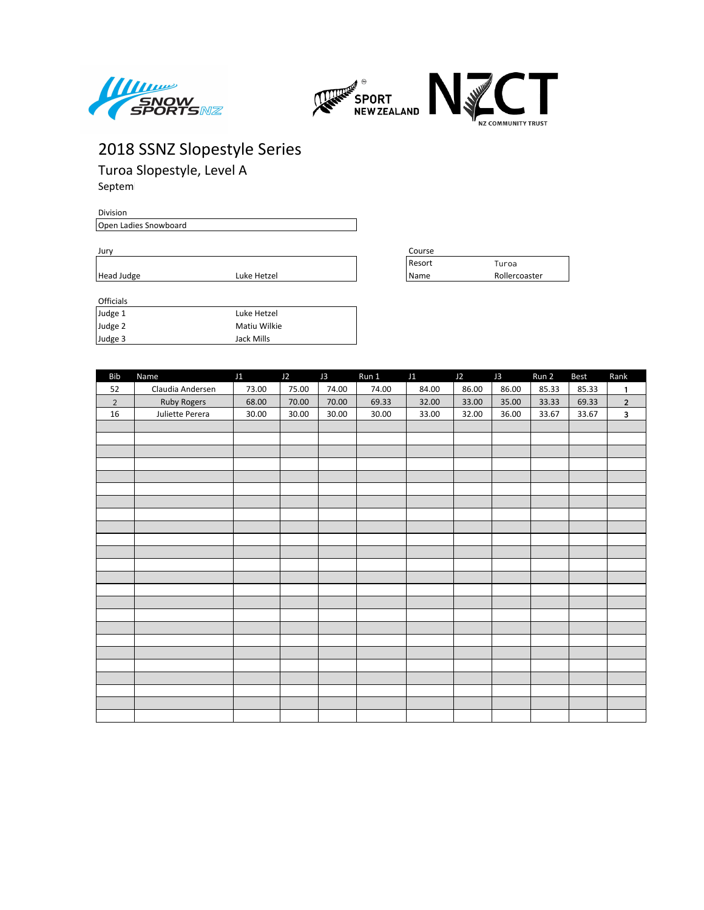



Turoa Slopestyle, Level A Septem

Division Open Ladies Snowboard

| I<br>۰. | ×<br>. . |  |
|---------|----------|--|
|         |          |  |

| Jury       |             |  | Course          |               |  |
|------------|-------------|--|-----------------|---------------|--|
|            |             |  | <b>I</b> Resort | Turoa         |  |
| Head Judge | Luke Hetzel |  | l Name          | Rollercoaster |  |
|            |             |  |                 |               |  |

| <b>UILLUD</b> |              |
|---------------|--------------|
| Judge 1       | Luke Hetzel  |
| Judge 2       | Matiu Wilkie |
| Judge 3       | Jack Mills   |

| Bib            | Name               | J1    | J2    | J3    | Run 1 | J1    | J2    | J3    | Run 2 | Best  | Rank           |
|----------------|--------------------|-------|-------|-------|-------|-------|-------|-------|-------|-------|----------------|
| 52             | Claudia Andersen   | 73.00 | 75.00 | 74.00 | 74.00 | 84.00 | 86.00 | 86.00 | 85.33 | 85.33 | $\mathbf{1}$   |
| $\overline{2}$ | <b>Ruby Rogers</b> | 68.00 | 70.00 | 70.00 | 69.33 | 32.00 | 33.00 | 35.00 | 33.33 | 69.33 | $\overline{2}$ |
| 16             | Juliette Perera    | 30.00 | 30.00 | 30.00 | 30.00 | 33.00 | 32.00 | 36.00 | 33.67 | 33.67 | $\mathbf{3}$   |
|                |                    |       |       |       |       |       |       |       |       |       |                |
|                |                    |       |       |       |       |       |       |       |       |       |                |
|                |                    |       |       |       |       |       |       |       |       |       |                |
|                |                    |       |       |       |       |       |       |       |       |       |                |
|                |                    |       |       |       |       |       |       |       |       |       |                |
|                |                    |       |       |       |       |       |       |       |       |       |                |
|                |                    |       |       |       |       |       |       |       |       |       |                |
|                |                    |       |       |       |       |       |       |       |       |       |                |
|                |                    |       |       |       |       |       |       |       |       |       |                |
|                |                    |       |       |       |       |       |       |       |       |       |                |
|                |                    |       |       |       |       |       |       |       |       |       |                |
|                |                    |       |       |       |       |       |       |       |       |       |                |
|                |                    |       |       |       |       |       |       |       |       |       |                |
|                |                    |       |       |       |       |       |       |       |       |       |                |
|                |                    |       |       |       |       |       |       |       |       |       |                |
|                |                    |       |       |       |       |       |       |       |       |       |                |
|                |                    |       |       |       |       |       |       |       |       |       |                |
|                |                    |       |       |       |       |       |       |       |       |       |                |
|                |                    |       |       |       |       |       |       |       |       |       |                |
|                |                    |       |       |       |       |       |       |       |       |       |                |
|                |                    |       |       |       |       |       |       |       |       |       |                |
|                |                    |       |       |       |       |       |       |       |       |       |                |
|                |                    |       |       |       |       |       |       |       |       |       |                |
|                |                    |       |       |       |       |       |       |       |       |       |                |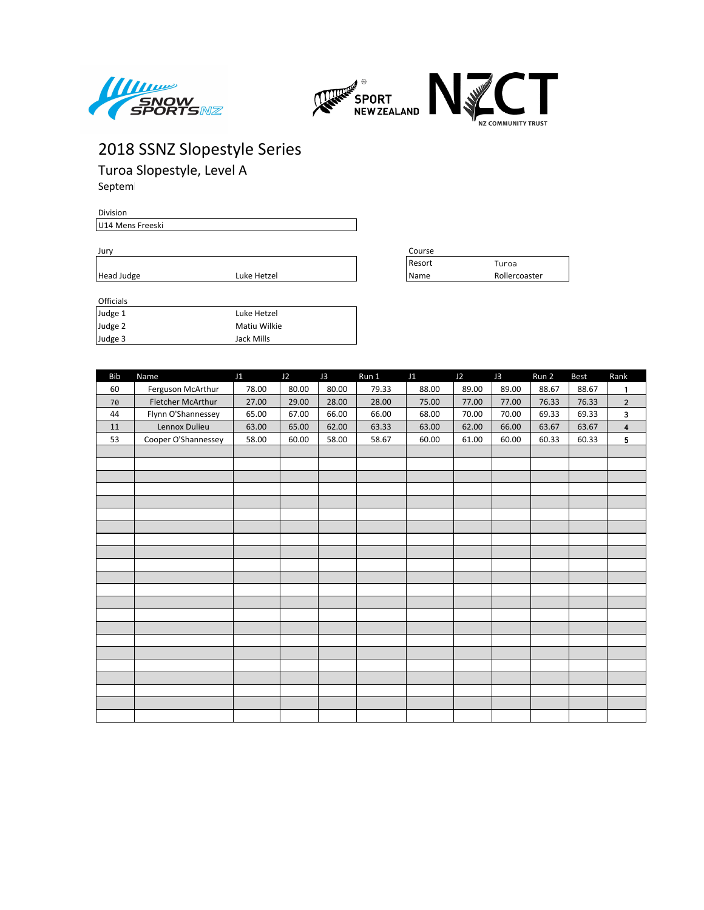



Turoa Slopestyle, Level A Septem

Division U14 Mens Freeski

| ۰.<br>I | ×<br>. . |  |
|---------|----------|--|
|         |          |  |

Jury Course Resort Turoa Head Judge **Luke Hetzel** Name Rollercoaster

| <b>UILLUAD</b> |              |
|----------------|--------------|
| Judge 1        | Luke Hetzel  |
| Judge 2        | Matiu Wilkie |
| Judge 3        | Jack Mills   |

| <b>Bib</b> | Name                | J1    | J2    | J3    | Run 1 | J1    | J2    | J3    | Run 2 | <b>Best</b> | Rank                    |
|------------|---------------------|-------|-------|-------|-------|-------|-------|-------|-------|-------------|-------------------------|
| 60         | Ferguson McArthur   | 78.00 | 80.00 | 80.00 | 79.33 | 88.00 | 89.00 | 89.00 | 88.67 | 88.67       | $\mathbf{1}$            |
| 70         | Fletcher McArthur   | 27.00 | 29.00 | 28.00 | 28.00 | 75.00 | 77.00 | 77.00 | 76.33 | 76.33       | $\overline{2}$          |
| 44         | Flynn O'Shannessey  | 65.00 | 67.00 | 66.00 | 66.00 | 68.00 | 70.00 | 70.00 | 69.33 | 69.33       | 3                       |
| 11         | Lennox Dulieu       | 63.00 | 65.00 | 62.00 | 63.33 | 63.00 | 62.00 | 66.00 | 63.67 | 63.67       | $\overline{\mathbf{4}}$ |
| 53         | Cooper O'Shannessey | 58.00 | 60.00 | 58.00 | 58.67 | 60.00 | 61.00 | 60.00 | 60.33 | 60.33       | 5                       |
|            |                     |       |       |       |       |       |       |       |       |             |                         |
|            |                     |       |       |       |       |       |       |       |       |             |                         |
|            |                     |       |       |       |       |       |       |       |       |             |                         |
|            |                     |       |       |       |       |       |       |       |       |             |                         |
|            |                     |       |       |       |       |       |       |       |       |             |                         |
|            |                     |       |       |       |       |       |       |       |       |             |                         |
|            |                     |       |       |       |       |       |       |       |       |             |                         |
|            |                     |       |       |       |       |       |       |       |       |             |                         |
|            |                     |       |       |       |       |       |       |       |       |             |                         |
|            |                     |       |       |       |       |       |       |       |       |             |                         |
|            |                     |       |       |       |       |       |       |       |       |             |                         |
|            |                     |       |       |       |       |       |       |       |       |             |                         |
|            |                     |       |       |       |       |       |       |       |       |             |                         |
|            |                     |       |       |       |       |       |       |       |       |             |                         |
|            |                     |       |       |       |       |       |       |       |       |             |                         |
|            |                     |       |       |       |       |       |       |       |       |             |                         |
|            |                     |       |       |       |       |       |       |       |       |             |                         |
|            |                     |       |       |       |       |       |       |       |       |             |                         |
|            |                     |       |       |       |       |       |       |       |       |             |                         |
|            |                     |       |       |       |       |       |       |       |       |             |                         |
|            |                     |       |       |       |       |       |       |       |       |             |                         |
|            |                     |       |       |       |       |       |       |       |       |             |                         |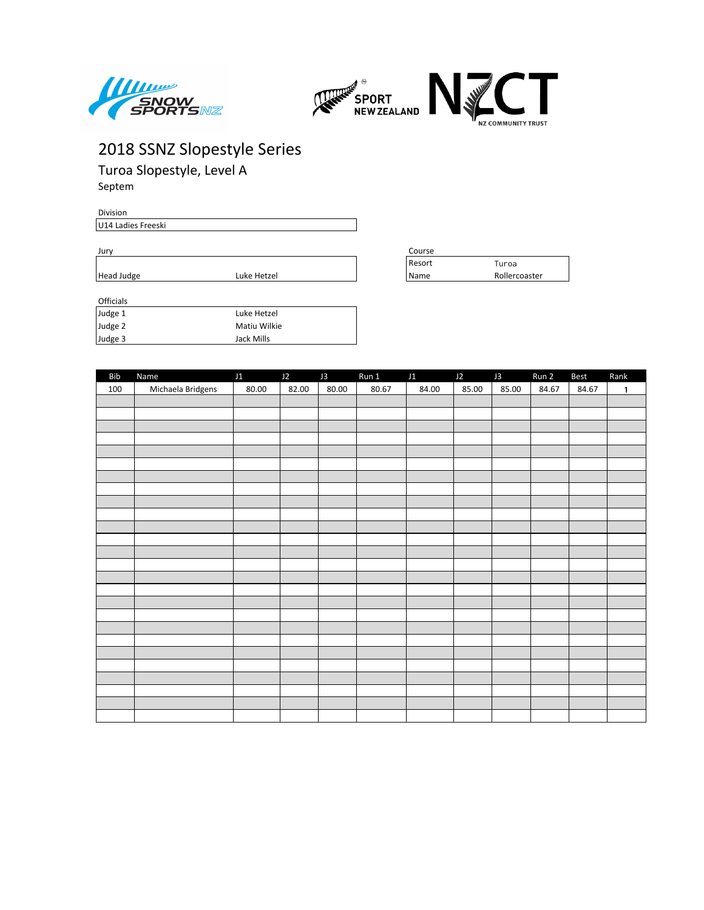



Turoa Slopestyle, Level A Septem

Division U14 Ladies Freeski

| Jury       |             | Course |               |  |  |
|------------|-------------|--------|---------------|--|--|
|            |             | Resort | Turoa         |  |  |
| Head Judge | Luke Hetzel | 'Name  | Rollercoaster |  |  |
|            |             |        |               |  |  |

| Judge 1 | Luke Hetzel  |
|---------|--------------|
| Judge 2 | Matiu Wilkie |
| Judge 3 | Jack Mills   |

| Bib | Name              | J1    | J2    | J3    | Run 1 | J1    | J2    | J3    | Run 2 | Best  | Rank         |
|-----|-------------------|-------|-------|-------|-------|-------|-------|-------|-------|-------|--------------|
| 100 | Michaela Bridgens | 80.00 | 82.00 | 80.00 | 80.67 | 84.00 | 85.00 | 85.00 | 84.67 | 84.67 | $\mathbf{1}$ |
|     |                   |       |       |       |       |       |       |       |       |       |              |
|     |                   |       |       |       |       |       |       |       |       |       |              |
|     |                   |       |       |       |       |       |       |       |       |       |              |
|     |                   |       |       |       |       |       |       |       |       |       |              |
|     |                   |       |       |       |       |       |       |       |       |       |              |
|     |                   |       |       |       |       |       |       |       |       |       |              |
|     |                   |       |       |       |       |       |       |       |       |       |              |
|     |                   |       |       |       |       |       |       |       |       |       |              |
|     |                   |       |       |       |       |       |       |       |       |       |              |
|     |                   |       |       |       |       |       |       |       |       |       |              |
|     |                   |       |       |       |       |       |       |       |       |       |              |
|     |                   |       |       |       |       |       |       |       |       |       |              |
|     |                   |       |       |       |       |       |       |       |       |       |              |
|     |                   |       |       |       |       |       |       |       |       |       |              |
|     |                   |       |       |       |       |       |       |       |       |       |              |
|     |                   |       |       |       |       |       |       |       |       |       |              |
|     |                   |       |       |       |       |       |       |       |       |       |              |
|     |                   |       |       |       |       |       |       |       |       |       |              |
|     |                   |       |       |       |       |       |       |       |       |       |              |
|     |                   |       |       |       |       |       |       |       |       |       |              |
|     |                   |       |       |       |       |       |       |       |       |       |              |
|     |                   |       |       |       |       |       |       |       |       |       |              |
|     |                   |       |       |       |       |       |       |       |       |       |              |
|     |                   |       |       |       |       |       |       |       |       |       |              |
|     |                   |       |       |       |       |       |       |       |       |       |              |
|     |                   |       |       |       |       |       |       |       |       |       |              |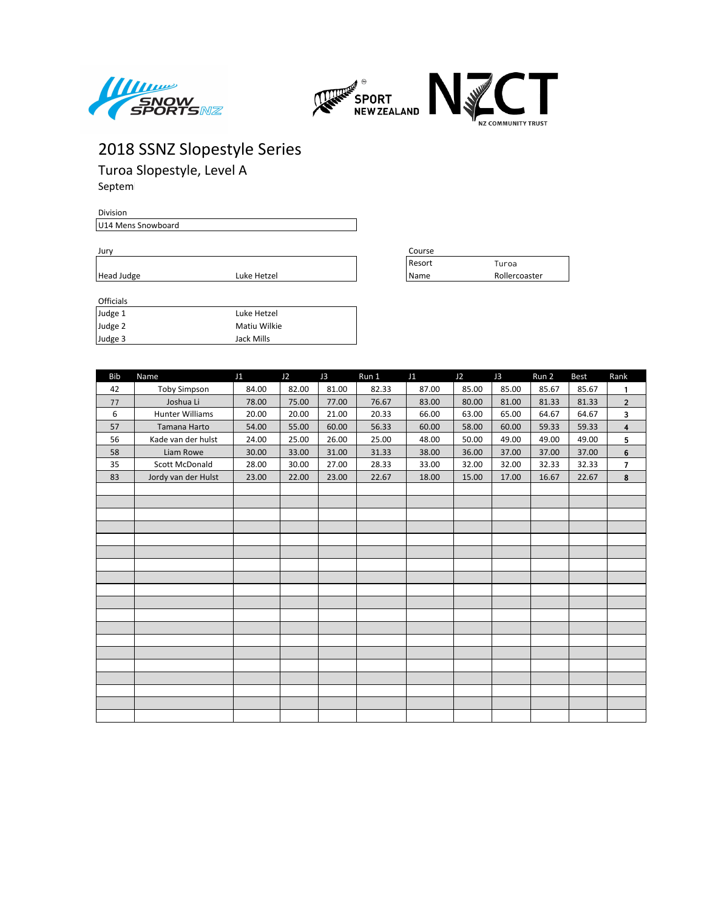



Turoa Slopestyle, Level A Septem

Division

U14 Mens Snowboard

Jury Course Resort Turoa Head Judge **Luke Hetzel** Name Rollercoaster

| <b>UILLUD</b> |              |
|---------------|--------------|
| Judge 1       | Luke Hetzel  |
| Judge 2       | Matiu Wilkie |
| Judge 3       | Jack Mills   |

| <b>Bib</b> | Name                   | J1    | J2    | J3    | Run 1 | J1    | J2    | J3    | Run 2 | Best  | Rank             |
|------------|------------------------|-------|-------|-------|-------|-------|-------|-------|-------|-------|------------------|
| 42         | <b>Toby Simpson</b>    | 84.00 | 82.00 | 81.00 | 82.33 | 87.00 | 85.00 | 85.00 | 85.67 | 85.67 | 1                |
| 77         | Joshua Li              | 78.00 | 75.00 | 77.00 | 76.67 | 83.00 | 80.00 | 81.00 | 81.33 | 81.33 | $\overline{2}$   |
| 6          | <b>Hunter Williams</b> | 20.00 | 20.00 | 21.00 | 20.33 | 66.00 | 63.00 | 65.00 | 64.67 | 64.67 | 3                |
| 57         | Tamana Harto           | 54.00 | 55.00 | 60.00 | 56.33 | 60.00 | 58.00 | 60.00 | 59.33 | 59.33 | 4                |
| 56         | Kade van der hulst     | 24.00 | 25.00 | 26.00 | 25.00 | 48.00 | 50.00 | 49.00 | 49.00 | 49.00 | 5                |
| 58         | Liam Rowe              | 30.00 | 33.00 | 31.00 | 31.33 | 38.00 | 36.00 | 37.00 | 37.00 | 37.00 | 6                |
| 35         | <b>Scott McDonald</b>  | 28.00 | 30.00 | 27.00 | 28.33 | 33.00 | 32.00 | 32.00 | 32.33 | 32.33 | $\overline{1}$   |
| 83         | Jordy van der Hulst    | 23.00 | 22.00 | 23.00 | 22.67 | 18.00 | 15.00 | 17.00 | 16.67 | 22.67 | $\boldsymbol{8}$ |
|            |                        |       |       |       |       |       |       |       |       |       |                  |
|            |                        |       |       |       |       |       |       |       |       |       |                  |
|            |                        |       |       |       |       |       |       |       |       |       |                  |
|            |                        |       |       |       |       |       |       |       |       |       |                  |
|            |                        |       |       |       |       |       |       |       |       |       |                  |
|            |                        |       |       |       |       |       |       |       |       |       |                  |
|            |                        |       |       |       |       |       |       |       |       |       |                  |
|            |                        |       |       |       |       |       |       |       |       |       |                  |
|            |                        |       |       |       |       |       |       |       |       |       |                  |
|            |                        |       |       |       |       |       |       |       |       |       |                  |
|            |                        |       |       |       |       |       |       |       |       |       |                  |
|            |                        |       |       |       |       |       |       |       |       |       |                  |
|            |                        |       |       |       |       |       |       |       |       |       |                  |
|            |                        |       |       |       |       |       |       |       |       |       |                  |
|            |                        |       |       |       |       |       |       |       |       |       |                  |
|            |                        |       |       |       |       |       |       |       |       |       |                  |
|            |                        |       |       |       |       |       |       |       |       |       |                  |
|            |                        |       |       |       |       |       |       |       |       |       |                  |
|            |                        |       |       |       |       |       |       |       |       |       |                  |